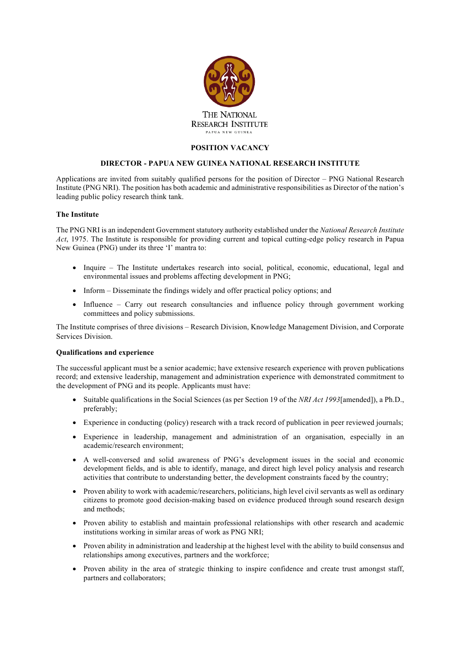

## **POSITION VACANCY**

## **DIRECTOR - PAPUA NEW GUINEA NATIONAL RESEARCH INSTITUTE**

Applications are invited from suitably qualified persons for the position of Director – PNG National Research Institute (PNG NRI). The position has both academic and administrative responsibilities as Director of the nation's leading public policy research think tank.

# **The Institute**

The PNG NRI is an independent Government statutory authority established under the *National Research Institute Act*, 1975. The Institute is responsible for providing current and topical cutting-edge policy research in Papua New Guinea (PNG) under its three 'I' mantra to:

- Inquire The Institute undertakes research into social, political, economic, educational, legal and environmental issues and problems affecting development in PNG;
- Inform Disseminate the findings widely and offer practical policy options; and
- Influence Carry out research consultancies and influence policy through government working committees and policy submissions.

The Institute comprises of three divisions – Research Division, Knowledge Management Division, and Corporate Services Division.

#### **Qualifications and experience**

The successful applicant must be a senior academic; have extensive research experience with proven publications record; and extensive leadership, management and administration experience with demonstrated commitment to the development of PNG and its people. Applicants must have:

- Suitable qualifications in the Social Sciences (as per Section 19 of the *NRI Act 1993*[amended]), a Ph.D., preferably;
- Experience in conducting (policy) research with a track record of publication in peer reviewed journals;
- Experience in leadership, management and administration of an organisation, especially in an academic/research environment;
- A well-conversed and solid awareness of PNG's development issues in the social and economic development fields, and is able to identify, manage, and direct high level policy analysis and research activities that contribute to understanding better, the development constraints faced by the country;
- Proven ability to work with academic/researchers, politicians, high level civil servants as well as ordinary citizens to promote good decision-making based on evidence produced through sound research design and methods;
- Proven ability to establish and maintain professional relationships with other research and academic institutions working in similar areas of work as PNG NRI;
- Proven ability in administration and leadership at the highest level with the ability to build consensus and relationships among executives, partners and the workforce;
- Proven ability in the area of strategic thinking to inspire confidence and create trust amongst staff, partners and collaborators;